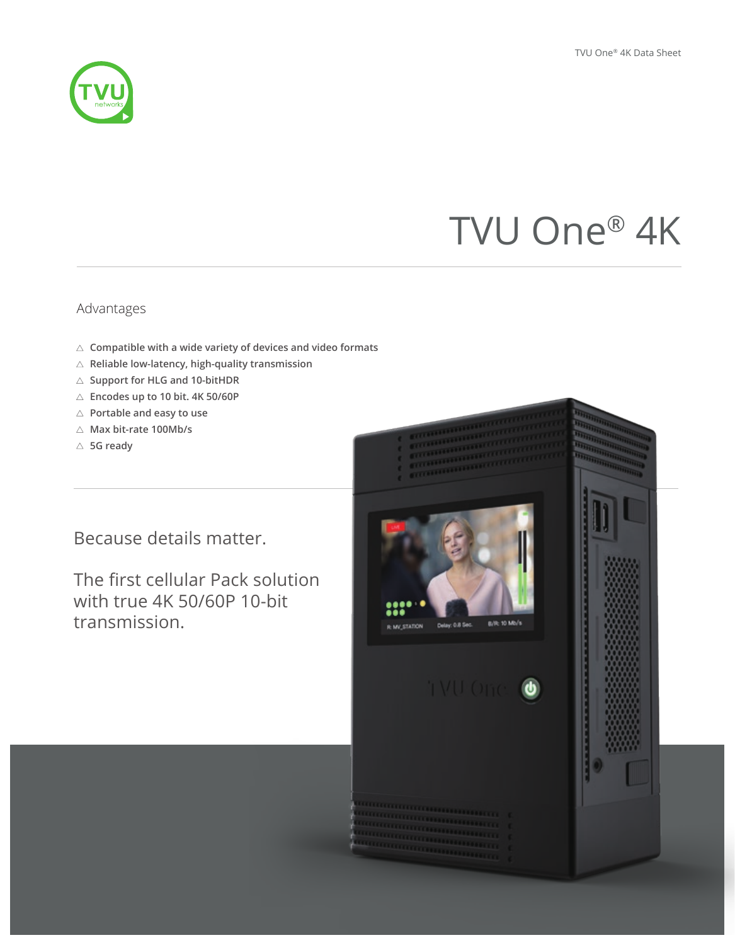# TVU One® 4K

### Advantages

- **Compatible with a wide variety of devices and video formats**
- **Reliable low-latency, high-quality transmission**
- **Support for HLG and 10-bitHDR**
- **Encodes up to 10 bit. 4K 50/60P**
- **Portable and easy to use**
- **Max bit-rate 100Mb/s**
- **5G ready**

# Because details matter.

The first cellular Pack solution with true 4K 50/60P 10-bit transmission.